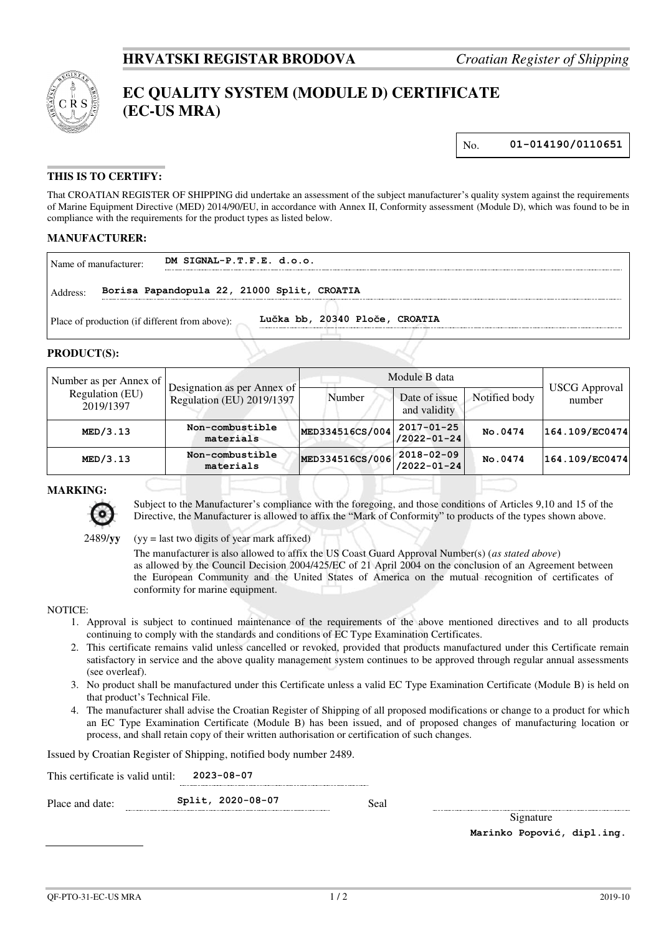

# **EC QUALITY SYSTEM (MODULE D) CERTIFICATE (EC-US MRA)**

No. **01-014190/0110651**

## **THIS IS TO CERTIFY:**

That CROATIAN REGISTER OF SHIPPING did undertake an assessment of the subject manufacturer's quality system against the requirements of Marine Equipment Directive (MED) 2014/90/EU, in accordance with Annex II, Conformity assessment (Module D), which was found to be in compliance with the requirements for the product types as listed below.

#### **MANUFACTURER:**

| Name of manufacturer:                          | DM SIGNAL-P.T.F.E. d.o.o.                   |                                |
|------------------------------------------------|---------------------------------------------|--------------------------------|
| Address:                                       | Borisa Papandopula 22, 21000 Split, CROATIA |                                |
| Place of production (if different from above): |                                             | Lučka bb, 20340 Ploče, CROATIA |

#### **PRODUCT(S):**

| Number as per Annex of       | Designation as per Annex of  | Module B data   |                                       |               |                                |
|------------------------------|------------------------------|-----------------|---------------------------------------|---------------|--------------------------------|
| Regulation (EU)<br>2019/1397 | Regulation (EU) 2019/1397    | Number          | Date of issue<br>and validity         | Notified body | <b>USCG</b> Approval<br>number |
| MED/3.13                     | Non-combustible<br>materials | MED334516CS/004 | 2017-01-25<br>$/2022 - 01 - 24$       | No.0474       | 164.109/EC0474                 |
| MED/3.13                     | Non-combustible<br>materials | MED334516CS/006 | $2018 - 02 - 09$<br>$/2022 - 01 - 24$ | No.0474       | 164.109/EC0474                 |

### **MARKING:**



Subject to the Manufacturer's compliance with the foregoing, and those conditions of Articles 9,10 and 15 of the Directive, the Manufacturer is allowed to affix the "Mark of Conformity" to products of the types shown above.

2489/**yy** (yy = last two digits of year mark affixed)

The manufacturer is also allowed to affix the US Coast Guard Approval Number(s) (*as stated above*) as allowed by the Council Decision 2004/425/EC of 21 April 2004 on the conclusion of an Agreement between the European Community and the United States of America on the mutual recognition of certificates of conformity for marine equipment.

#### NOTICE:

- 1. Approval is subject to continued maintenance of the requirements of the above mentioned directives and to all products continuing to comply with the standards and conditions of EC Type Examination Certificates.
- 2. This certificate remains valid unless cancelled or revoked, provided that products manufactured under this Certificate remain satisfactory in service and the above quality management system continues to be approved through regular annual assessments (see overleaf).
- 3. No product shall be manufactured under this Certificate unless a valid EC Type Examination Certificate (Module B) is held on that product's Technical File.
- 4. The manufacturer shall advise the Croatian Register of Shipping of all proposed modifications or change to a product for which an EC Type Examination Certificate (Module B) has been issued, and of proposed changes of manufacturing location or process, and shall retain copy of their written authorisation or certification of such changes.

Issued by Croatian Register of Shipping, notified body number 2489.

This certificate is valid until: **2023-08-07** 

Place and date: **Split, 2020-08-07** Seal

Signature **Marinko Popović, dipl.ing.**